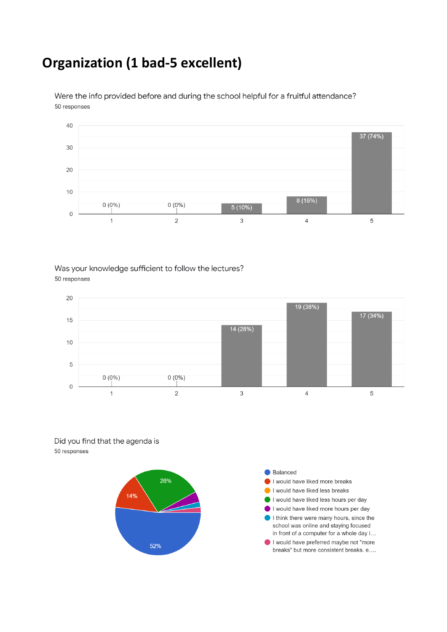## **Organization (1 bad-5 excellent)**



Were the info provided before and during the school helpful for a fruitful attendance? 50 responses

#### Was your knowledge sufficient to follow the lectures? 50 responses



Did you find that the agenda is 50 responses

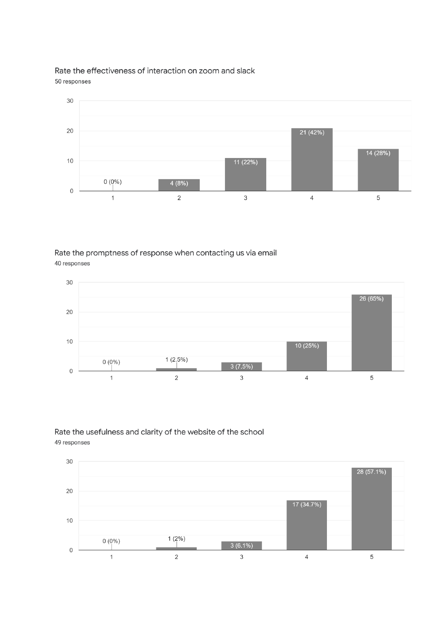Rate the effectiveness of interaction on zoom and slack 50 responses



Rate the promptness of response when contacting us via email 40 responses



#### Rate the usefulness and clarity of the website of the school 49 responses

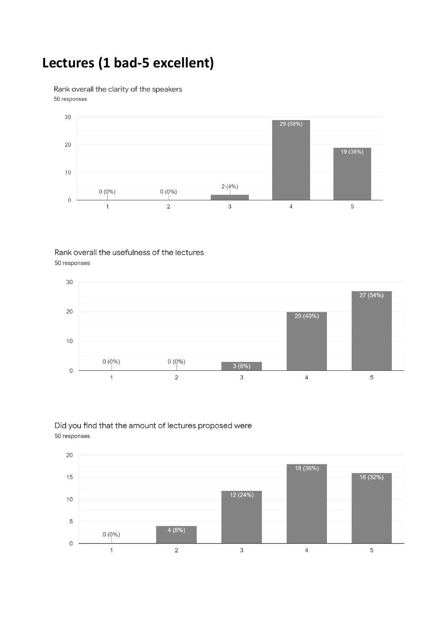# **Lectures (1 bad-5 excellent)**

Rank overall the clarity of the speakers 50 responses



#### Rank overall the usefulness of the lectures 50 responses



#### Did you find that the amount of lectures proposed were 50 responses

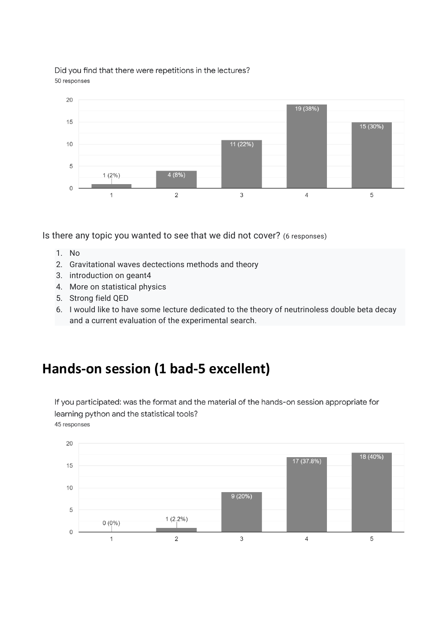Did you find that there were repetitions in the lectures? 50 responses



Is there any topic you wanted to see that we did not cover? (6 responses)

- 1. No
- 2. Gravitational waves dectections methods and theory
- 3. introduction on geant4
- 4. More on statistical physics
- 5. Strong field QED
- 6. I would like to have some lecture dedicated to the theory of neutrinoless double beta decay and a current evaluation of the experimental search.

## **Hands-on session (1 bad-5 excellent)**

If you participated: was the format and the material of the hands-on session appropriate for learning python and the statistical tools?

45 responses

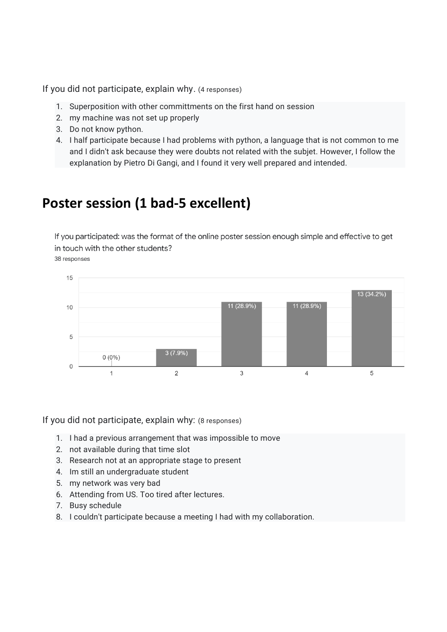If you did not participate, explain why. (4 responses)

- 1. Superposition with other committments on the first hand on session
- 2. my machine was not set up properly
- 3. Do not know python.
- 4. I half participate because I had problems with python, a language that is not common to me and I didn't ask because they were doubts not related with the subjet. However, I follow the explanation by Pietro Di Gangi, and I found it very well prepared and intended.

### **Poster session (1 bad-5 excellent)**

If you participated: was the format of the online poster session enough simple and effective to get in touch with the other students?

38 responses



If you did not participate, explain why: (8 responses)

- 1. I had a previous arrangement that was impossible to move
- 2. not available during that time slot
- 3. Research not at an appropriate stage to present
- 4. Im still an undergraduate student
- 5. my network was very bad
- 6. Attending from US. Too tired after lectures.
- 7. Busy schedule
- 8. I couldn't participate because a meeting I had with my collaboration.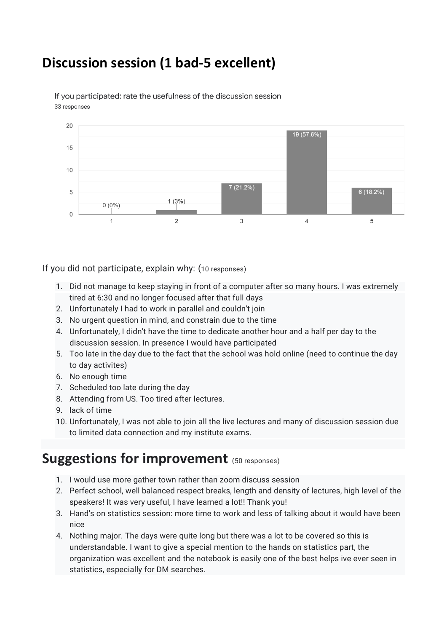# **Discussion session (1 bad-5 excellent)**



If you participated: rate the usefulness of the discussion session 33 responses

If you did not participate, explain why: (10 responses)

- 1. Did not manage to keep staying in front of a computer after so many hours. I was extremely tired at 6:30 and no longer focused after that full days
- 2. Unfortunately I had to work in parallel and couldn't join
- 3. No urgent question in mind, and constrain due to the time
- 4. Unfortunately, I didn't have the time to dedicate another hour and a half per day to the discussion session. In presence I would have participated
- 5. Too late in the day due to the fact that the school was hold online (need to continue the day to day activites)
- 6. No enough time
- 7. Scheduled too late during the day
- 8. Attending from US. Too tired after lectures.
- 9. lack of time
- 10. Unfortunately, I was not able to join all the live lectures and many of discussion session due to limited data connection and my institute exams.

### **Suggestions for improvement** (50 responses)

- 1. I would use more gather town rather than zoom discuss session
- 2. Perfect school, well balanced respect breaks, length and density of lectures, high level of the speakers! It was very useful, I have learned a lot!! Thank you!
- 3. Hand's on statistics session: more time to work and less of talking about it would have been nice
- 4. Nothing major. The days were quite long but there was a lot to be covered so this is understandable. I want to give a special mention to the hands on statistics part, the organization was excellent and the notebook is easily one of the best helps ive ever seen in statistics, especially for DM searches.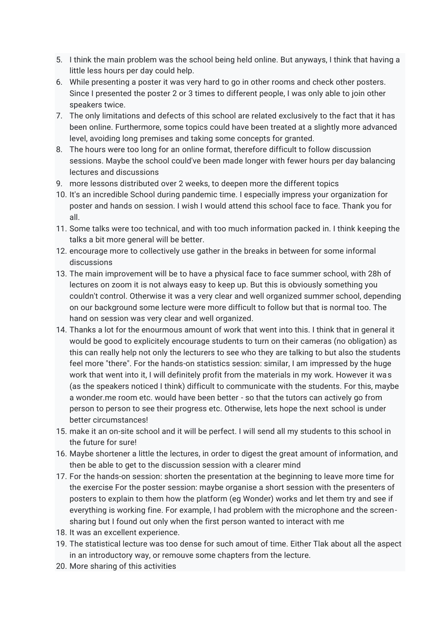- 5. I think the main problem was the school being held online. But anyways, I think that having a little less hours per day could help.
- 6. While presenting a poster it was very hard to go in other rooms and check other posters. Since I presented the poster 2 or 3 times to different people, I was only able to join other speakers twice.
- 7. The only limitations and defects of this school are related exclusively to the fact that it has been online. Furthermore, some topics could have been treated at a slightly more advanced level, avoiding long premises and taking some concepts for granted.
- 8. The hours were too long for an online format, therefore difficult to follow discussion sessions. Maybe the school could've been made longer with fewer hours per day balancing lectures and discussions
- 9. more lessons distributed over 2 weeks, to deepen more the different topics
- 10. It's an incredible School during pandemic time. I especially impress your organization for poster and hands on session. I wish I would attend this school face to face. Thank you for all.
- 11. Some talks were too technical, and with too much information packed in. I think keeping the talks a bit more general will be better.
- 12. encourage more to collectively use gather in the breaks in between for some informal discussions
- 13. The main improvement will be to have a physical face to face summer school, with 28h of lectures on zoom it is not always easy to keep up. But this is obviously something you couldn't control. Otherwise it was a very clear and well organized summer school, depending on our background some lecture were more difficult to follow but that is normal too. The hand on session was very clear and well organized.
- 14. Thanks a lot for the enourmous amount of work that went into this. I think that in general it would be good to explicitely encourage students to turn on their cameras (no obligation) as this can really help not only the lecturers to see who they are talking to but also the students feel more "there". For the hands-on statistics session: similar, I am impressed by the huge work that went into it, I will definitely profit from the materials in my work. However it was (as the speakers noticed I think) difficult to communicate with the students. For this, maybe a wonder.me room etc. would have been better - so that the tutors can actively go from person to person to see their progress etc. Otherwise, lets hope the next school is under better circumstances!
- 15. make it an on-site school and it will be perfect. I will send all my students to this school in the future for sure!
- 16. Maybe shortener a little the lectures, in order to digest the great amount of information, and then be able to get to the discussion session with a clearer mind
- 17. For the hands-on session: shorten the presentation at the beginning to leave more time for the exercise For the poster session: maybe organise a short session with the presenters of posters to explain to them how the platform (eg Wonder) works and let them try and see if everything is working fine. For example, I had problem with the microphone and the screensharing but I found out only when the first person wanted to interact with me
- 18. It was an excellent experience.
- 19. The statistical lecture was too dense for such amout of time. Either Tlak about all the aspect in an introductory way, or remouve some chapters from the lecture.
- 20. More sharing of this activities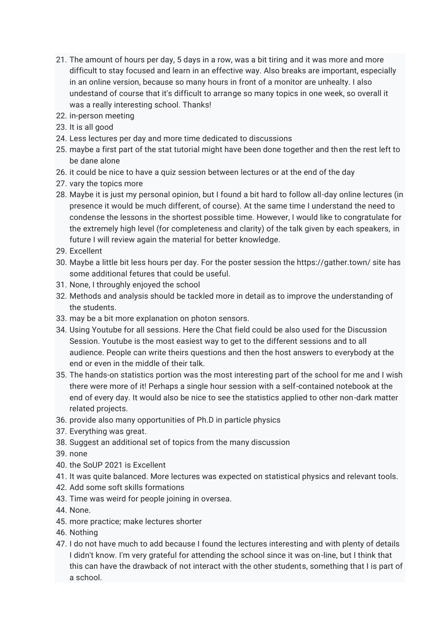- 21. The amount of hours per day, 5 days in a row, was a bit tiring and it was more and more difficult to stay focused and learn in an effective way. Also breaks are important, especially in an online version, because so many hours in front of a monitor are unhealty. I also undestand of course that it's difficult to arrange so many topics in one week, so overall it was a really interesting school. Thanks!
- 22. in-person meeting
- 23. It is all good
- 24. Less lectures per day and more time dedicated to discussions
- 25. maybe a first part of the stat tutorial might have been done together and then the rest left to be dane alone
- 26. it could be nice to have a quiz session between lectures or at the end of the day
- 27. vary the topics more
- 28. Maybe it is just my personal opinion, but I found a bit hard to follow all-day online lectures (in presence it would be much different, of course). At the same time I understand the need to condense the lessons in the shortest possible time. However, I would like to congratulate for the extremely high level (for completeness and clarity) of the talk given by each speakers, in future I will review again the material for better knowledge.
- 29. Excellent
- 30. Maybe a little bit less hours per day. For the poster session the https://gather.town/ site has some additional fetures that could be useful.
- 31. None, I throughly enjoyed the school
- 32. Methods and analysis should be tackled more in detail as to improve the understanding of the students.
- 33. may be a bit more explanation on photon sensors.
- 34. Using Youtube for all sessions. Here the Chat field could be also used for the Discussion Session. Youtube is the most easiest way to get to the different sessions and to all audience. People can write theirs questions and then the host answers to everybody at the end or even in the middle of their talk.
- 35. The hands-on statistics portion was the most interesting part of the school for me and I wish there were more of it! Perhaps a single hour session with a self-contained notebook at the end of every day. It would also be nice to see the statistics applied to other non-dark matter related projects.
- 36. provide also many opportunities of Ph.D in particle physics
- 37. Everything was great.
- 38. Suggest an additional set of topics from the many discussion
- 39. none
- 40. the SoUP 2021 is Excellent
- 41. It was quite balanced. More lectures was expected on statistical physics and relevant tools.
- 42. Add some soft skills formations
- 43. Time was weird for people joining in oversea.
- 44. None.
- 45. more practice; make lectures shorter
- 46. Nothing
- 47. I do not have much to add because I found the lectures interesting and with plenty of details I didn't know. I'm very grateful for attending the school since it was on-line, but I think that this can have the drawback of not interact with the other students, something that I is part of a school.